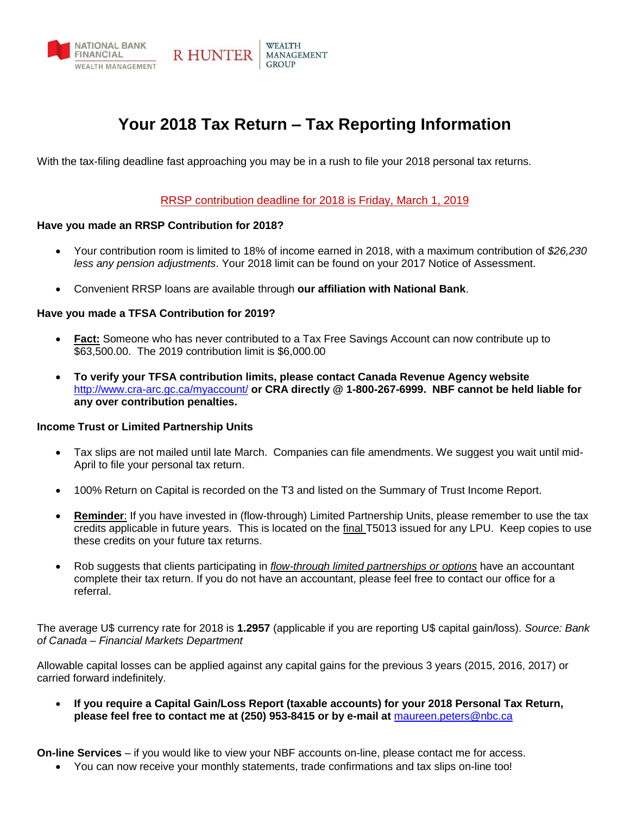

# **Your 2018 Tax Return – Tax Reporting Information**

With the tax-filing deadline fast approaching you may be in a rush to file your 2018 personal tax returns.

#### RRSP contribution deadline for 2018 is Friday, March 1, 2019

#### **Have you made an RRSP Contribution for 2018?**

- Your contribution room is limited to 18% of income earned in 2018, with a maximum contribution of *\$26,230 less any pension adjustments*. Your 2018 limit can be found on your 2017 Notice of Assessment.
- Convenient RRSP loans are available through **our affiliation with National Bank**.

#### **Have you made a TFSA Contribution for 2019?**

- **Fact:** Someone who has never contributed to a Tax Free Savings Account can now contribute up to \$63,500.00. The 2019 contribution limit is \$6,000.00
- **To verify your TFSA contribution limits, please contact Canada Revenue Agency website**  <http://www.cra-arc.gc.ca/myaccount/> **or CRA directly @ 1-800-267-6999. NBF cannot be held liable for any over contribution penalties.**

#### **Income Trust or Limited Partnership Units**

- Tax slips are not mailed until late March. Companies can file amendments. We suggest you wait until mid-April to file your personal tax return.
- 100% Return on Capital is recorded on the T3 and listed on the Summary of Trust Income Report.
- **Reminder:** If you have invested in (flow-through) Limited Partnership Units, please remember to use the tax credits applicable in future years. This is located on the final T5013 issued for any LPU. Keep copies to use these credits on your future tax returns.
- Rob suggests that clients participating in *flow-through limited partnerships or options* have an accountant complete their tax return. If you do not have an accountant, please feel free to contact our office for a referral.

The average U\$ currency rate for 2018 is **1.2957** (applicable if you are reporting U\$ capital gain/loss). *Source: Bank of Canada – Financial Markets Department*

Allowable capital losses can be applied against any capital gains for the previous 3 years (2015, 2016, 2017) or carried forward indefinitely.

• **If you require a Capital Gain/Loss Report (taxable accounts) for your 2018 Personal Tax Return, please feel free to contact me at (250) 953-8415 or by e-mail at** [maureen.peters@nbc.ca](mailto:maureen.peters@nbc.ca)

**On-line Services** – if you would like to view your NBF accounts on-line, please contact me for access.

• You can now receive your monthly statements, trade confirmations and tax slips on-line too!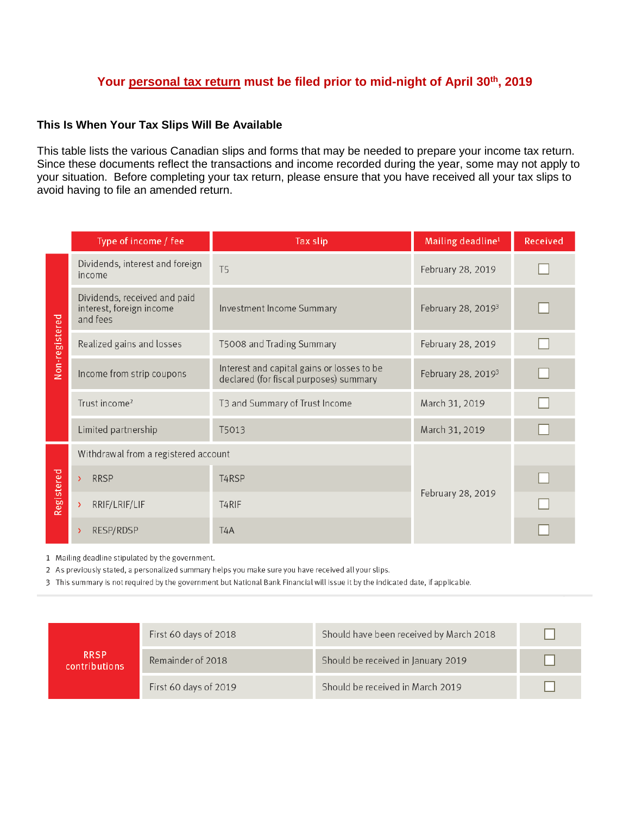## **Your personal tax return must be filed prior to mid-night of April 30th, 2019**

### **This Is When Your Tax Slips Will Be Available**

This table lists the various Canadian slips and forms that may be needed to prepare your income tax return. Since these documents reflect the transactions and income recorded during the year, some may not apply to your situation. Before completing your tax return, please ensure that you have received all your tax slips to avoid having to file an amended return.

|                | Type of income / fee                                                 | Tax slip                                                                             | Mailing deadline <sup>1</sup>  | Received |  |
|----------------|----------------------------------------------------------------------|--------------------------------------------------------------------------------------|--------------------------------|----------|--|
| Non-registered | Dividends, interest and foreign<br>income                            | T <sub>5</sub>                                                                       | February 28, 2019              |          |  |
|                | Dividends, received and paid<br>interest, foreign income<br>and fees | Investment Income Summary                                                            | February 28, 2019 <sup>3</sup> |          |  |
|                | Realized gains and losses                                            | T5008 and Trading Summary                                                            | February 28, 2019              |          |  |
|                | Income from strip coupons                                            | Interest and capital gains or losses to be<br>declared (for fiscal purposes) summary | February 28, 2019 <sup>3</sup> |          |  |
|                | Trust income <sup>2</sup>                                            | T3 and Summary of Trust Income                                                       | March 31, 2019                 |          |  |
|                | Limited partnership                                                  | T5013                                                                                | March 31, 2019                 |          |  |
| Registered     | Withdrawal from a registered account                                 |                                                                                      |                                |          |  |
|                | <b>RRSP</b>                                                          | T <sub>4</sub> RSP                                                                   | February 28, 2019              |          |  |
|                | RRIF/LRIF/LIF                                                        | T <sub>4</sub> RIF                                                                   |                                |          |  |
|                | RESP/RDSP                                                            | T <sub>4</sub> A                                                                     |                                |          |  |

1 Mailing deadline stipulated by the government.

2 As previously stated, a personalized summary helps you make sure you have received all your slips.

3 This summary is not required by the government but National Bank Financial will issue it by the indicated date, if applicable.

|                              | First 60 days of 2018 | Should have been received by March 2018 |  |
|------------------------------|-----------------------|-----------------------------------------|--|
| <b>RRSP</b><br>contributions | Remainder of 2018     | Should be received in January 2019      |  |
|                              | First 60 days of 2019 | Should be received in March 2019        |  |